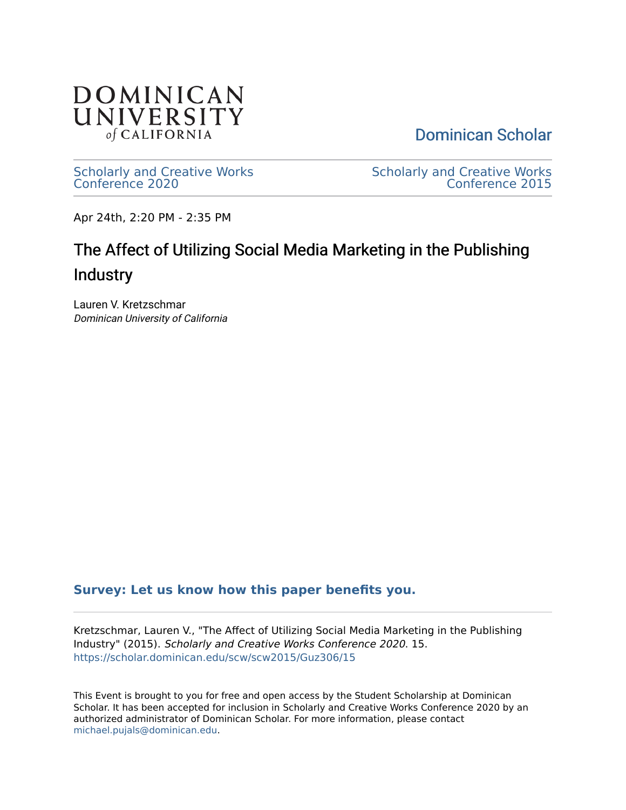

[Dominican Scholar](https://scholar.dominican.edu/) 

[Scholarly and Creative Works](https://scholar.dominican.edu/scw) [Conference 2020](https://scholar.dominican.edu/scw) 

[Scholarly and Creative Works](https://scholar.dominican.edu/scw/scw2015)  [Conference 2015](https://scholar.dominican.edu/scw/scw2015) 

Apr 24th, 2:20 PM - 2:35 PM

## The Affect of Utilizing Social Media Marketing in the Publishing **Industry**

Lauren V. Kretzschmar Dominican University of California

## **[Survey: Let us know how this paper benefits you.](https://dominican.libwizard.com/dominican-scholar-feedback)**

Kretzschmar, Lauren V., "The Affect of Utilizing Social Media Marketing in the Publishing Industry" (2015). Scholarly and Creative Works Conference 2020. 15. [https://scholar.dominican.edu/scw/scw2015/Guz306/15](https://scholar.dominican.edu/scw/scw2015/Guz306/15?utm_source=scholar.dominican.edu%2Fscw%2Fscw2015%2FGuz306%2F15&utm_medium=PDF&utm_campaign=PDFCoverPages) 

This Event is brought to you for free and open access by the Student Scholarship at Dominican Scholar. It has been accepted for inclusion in Scholarly and Creative Works Conference 2020 by an authorized administrator of Dominican Scholar. For more information, please contact [michael.pujals@dominican.edu.](mailto:michael.pujals@dominican.edu)